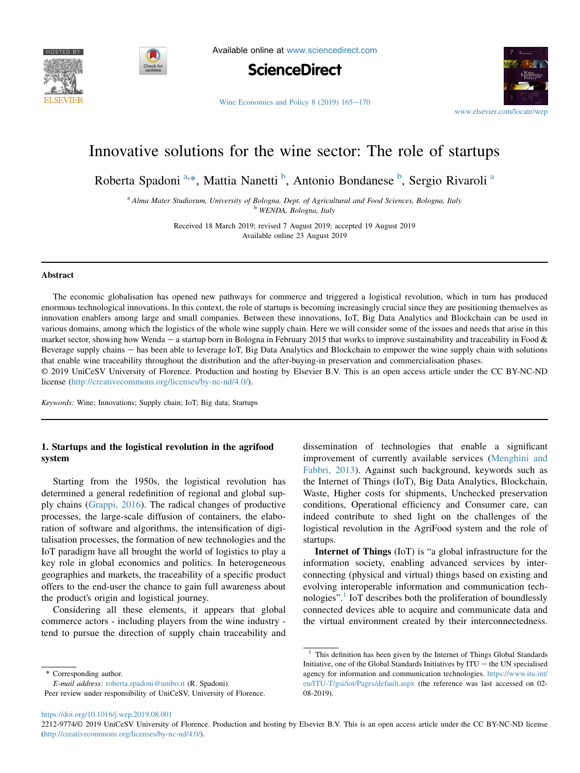



HOSTED BY Available online at [www.sciencedirect.com](www.sciencedirect.com/science/journal/22129774)



Wine Economics and Policy 8 (2019)  $165-170$  $165-170$ 



# Innovative solutions for the wine sector: The role of startups

Roberta Spadoni<sup>a, \*</sup>, Mattia Nanetti<sup>b</sup>, Antonio Bondanese<sup>b</sup>, Sergio Rivaroli<sup>a</sup>

<sup>a</sup> Alma Mater Studiorum, University of Bologna, Dept. of Agricultural and Food Sciences, Bologna, Italy <sup>b</sup> WENDA, Bologna, Italy

> Received 18 March 2019; revised 7 August 2019; accepted 19 August 2019 Available online 23 August 2019

#### Abstract

The economic globalisation has opened new pathways for commerce and triggered a logistical revolution, which in turn has produced enormous technological innovations. In this context, the role of startups is becoming increasingly crucial since they are positioning themselves as innovation enablers among large and small companies. Between these innovations, IoT, Big Data Analytics and Blockchain can be used in various domains, among which the logistics of the whole wine supply chain. Here we will consider some of the issues and needs that arise in this market sector, showing how Wenda  $-$  a startup born in Bologna in February 2015 that works to improve sustainability and traceability in Food  $\&$ Beverage supply chains – has been able to leverage IoT, Big Data Analytics and Blockchain to empower the wine supply chain with solutions that enable wine traceability throughout the distribution and the after-buying-in preservation and commercialisation phases.

© 2019 UniCeSV University of Florence. Production and hosting by Elsevier B.V. This is an open access article under the CC BY-NC-ND license ([http://creativecommons.org/licenses/by-nc-nd/4.0/\)](http://creativecommons.org/licenses/by-nc-nd/4.0/).

Keywords: Wine; Innovations; Supply chain; IoT; Big data; Startups

# 1. Startups and the logistical revolution in the agrifood system

Starting from the 1950s, the logistical revolution has determined a general redefinition of regional and global supply chains [\(Grappi, 2016\)](#page-5-0). The radical changes of productive processes, the large-scale diffusion of containers, the elaboration of software and algorithms, the intensification of digitalisation processes, the formation of new technologies and the IoT paradigm have all brought the world of logistics to play a key role in global economics and politics. In heterogeneous geographies and markets, the traceability of a specific product offers to the end-user the chance to gain full awareness about the product's origin and logistical journey.

Considering all these elements, it appears that global commerce actors - including players from the wine industry tend to pursue the direction of supply chain traceability and dissemination of technologies that enable a significant improvement of currently available services [\(Menghini and](#page-5-0) [Fabbri, 2013\)](#page-5-0). Against such background, keywords such as the Internet of Things (IoT), Big Data Analytics, Blockchain, Waste, Higher costs for shipments, Unchecked preservation conditions, Operational efficiency and Consumer care, can indeed contribute to shed light on the challenges of the logistical revolution in the AgriFood system and the role of startups.

Internet of Things (IoT) is "a global infrastructure for the information society, enabling advanced services by interconnecting (physical and virtual) things based on existing and evolving interoperable information and communication techconnecting (physical and virtual) things based on existing and<br>evolving interoperable information and communication tech-<br>nologies".<sup>1</sup> IoT describes both the proliferation of boundlessly connected devices able to acquire and communicate data and the virtual environment created by their interconnectedness.

<https://doi.org/10.1016/j.wep.2019.08.001>

<sup>\*</sup> Corresponding author.

E-mail address: [roberta.spadoni@unibo.it](mailto:roberta.spadoni@unibo.it) (R. Spadoni).

Peer review under responsibility of UniCeSV, University of Florence.

<sup>&</sup>lt;sup>1</sup> This definition has been given by the Internet of Things Global Standards Initiative, one of the Global Standards Initiatives by  $ITU -$  the UN specialised agency for information and communication technologies. [https://www.itu.int/](https://www.itu.int/en/ITU-T/gsi/iot/Pages/default.aspx) [en/ITU-T/gsi/iot/Pages/default.aspx](https://www.itu.int/en/ITU-T/gsi/iot/Pages/default.aspx) (the reference was last accessed on 02- 08-2019).

<sup>2212-9774/</sup>© 2019 UniCeSV University of Florence. Production and hosting by Elsevier B.V. This is an open access article under the CC BY-NC-ND license [\(http://creativecommons.org/licenses/by-nc-nd/4.0/\)](http://creativecommons.org/licenses/by-nc-nd/4.0/).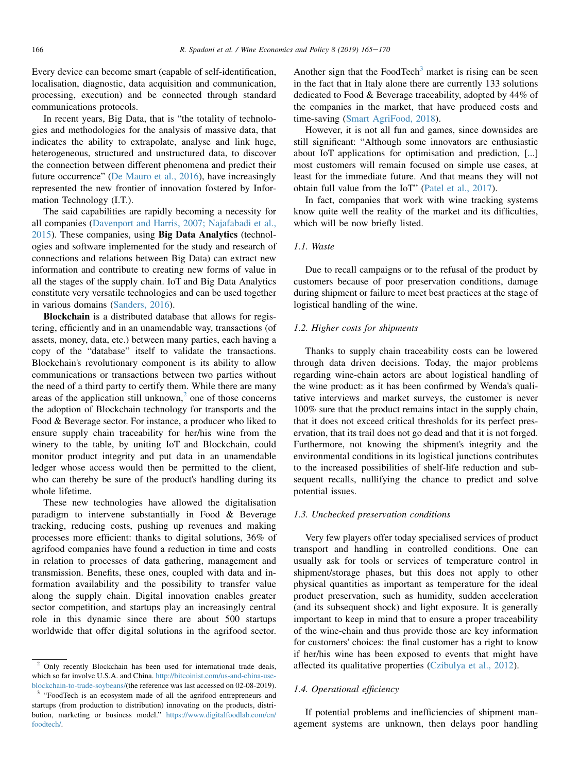Every device can become smart (capable of self-identification, localisation, diagnostic, data acquisition and communication, processing, execution) and be connected through standard communications protocols.

In recent years, Big Data, that is "the totality of technologies and methodologies for the analysis of massive data, that indicates the ability to extrapolate, analyse and link huge, heterogeneous, structured and unstructured data, to discover the connection between different phenomena and predict their future occurrence" [\(De Mauro et al., 2016](#page-5-0)), have increasingly represented the new frontier of innovation fostered by Information Technology (I.T.).

The said capabilities are rapidly becoming a necessity for all companies [\(Davenport and Harris, 2007; Najafabadi et al.,](#page-5-0) [2015\)](#page-5-0). These companies, using Big Data Analytics (technologies and software implemented for the study and research of connections and relations between Big Data) can extract new information and contribute to creating new forms of value in all the stages of the supply chain. IoT and Big Data Analytics constitute very versatile technologies and can be used together in various domains ([Sanders, 2016\)](#page-5-0).

Blockchain is a distributed database that allows for registering, efficiently and in an unamendable way, transactions (of assets, money, data, etc.) between many parties, each having a copy of the "database" itself to validate the transactions. Blockchain's revolutionary component is its ability to allow communications or transactions between two parties without the need of a third party to certify them. While there are many areas of the application still unknown, $<sup>2</sup>$  one of those concerns</sup> the adoption of Blockchain technology for transports and the Food & Beverage sector. For instance, a producer who liked to ensure supply chain traceability for her/his wine from the winery to the table, by uniting IoT and Blockchain, could monitor product integrity and put data in an unamendable ledger whose access would then be permitted to the client, who can thereby be sure of the product's handling during its whole lifetime.

These new technologies have allowed the digitalisation paradigm to intervene substantially in Food & Beverage tracking, reducing costs, pushing up revenues and making processes more efficient: thanks to digital solutions, 36% of agrifood companies have found a reduction in time and costs in relation to processes of data gathering, management and transmission. Benefits, these ones, coupled with data and information availability and the possibility to transfer value along the supply chain. Digital innovation enables greater sector competition, and startups play an increasingly central role in this dynamic since there are about 500 startups worldwide that offer digital solutions in the agrifood sector.

Another sign that the FoodTech<sup>3</sup> market is rising can be seen in the fact that in Italy alone there are currently 133 solutions dedicated to Food & Beverage traceability, adopted by 44% of the companies in the market, that have produced costs and time-saving ([Smart AgriFood, 2018](#page-5-0)).

However, it is not all fun and games, since downsides are still significant: "Although some innovators are enthusiastic about IoT applications for optimisation and prediction, [...] most customers will remain focused on simple use cases, at least for the immediate future. And that means they will not most customers will femall focused on simple use<br>least for the immediate future. And that means the<br>obtain full value from the IoT" ([Patel et al., 2017](#page-5-0)).

In fact, companies that work with wine tracking systems know quite well the reality of the market and its difficulties, which will be now briefly listed.

#### 1.1. Waste

Due to recall campaigns or to the refusal of the product by customers because of poor preservation conditions, damage during shipment or failure to meet best practices at the stage of logistical handling of the wine.

## 1.2. Higher costs for shipments

Thanks to supply chain traceability costs can be lowered through data driven decisions. Today, the major problems regarding wine-chain actors are about logistical handling of the wine product: as it has been confirmed by Wenda's qualitative interviews and market surveys, the customer is never 100% sure that the product remains intact in the supply chain, that it does not exceed critical thresholds for its perfect preservation, that its trail does not go dead and that it is not forged. Furthermore, not knowing the shipment's integrity and the environmental conditions in its logistical junctions contributes to the increased possibilities of shelf-life reduction and subsequent recalls, nullifying the chance to predict and solve potential issues.

#### 1.3. Unchecked preservation conditions

Very few players offer today specialised services of product transport and handling in controlled conditions. One can usually ask for tools or services of temperature control in shipment/storage phases, but this does not apply to other physical quantities as important as temperature for the ideal product preservation, such as humidity, sudden acceleration (and its subsequent shock) and light exposure. It is generally important to keep in mind that to ensure a proper traceability of the wine-chain and thus provide those are key information for customers' choices: the final customer has a right to know if her/his wine has been exposed to events that might have affected its qualitative properties [\(Czibulya et al., 2012\)](#page-5-0).

## 1.4. Operational efficiency

If potential problems and inefficiencies of shipment management systems are unknown, then delays poor handling

<sup>&</sup>lt;sup>2</sup> Only recently Blockchain has been used for international trade deals, which so far involve U.S.A. and China. [http://bitcoinist.com/us-and-china-use-](http://bitcoinist.com/us-and-china-use-blockchain-to-trade-soybeans/)

[blockchain-to-trade-soybeans/](http://bitcoinist.com/us-and-china-use-blockchain-to-trade-soybeans/)(the reference was last accessed on 02-08-2019). <sup>3</sup> "FoodTech is an ecosystem made of all the agrifood entrepreneurs and startups (from production to distribution) innovating on the products, distribution, marketing or business model." [https://www.digitalfoodlab.com/en/](https://www.digitalfoodlab.com/en/foodtech/) [foodtech/.](https://www.digitalfoodlab.com/en/foodtech/)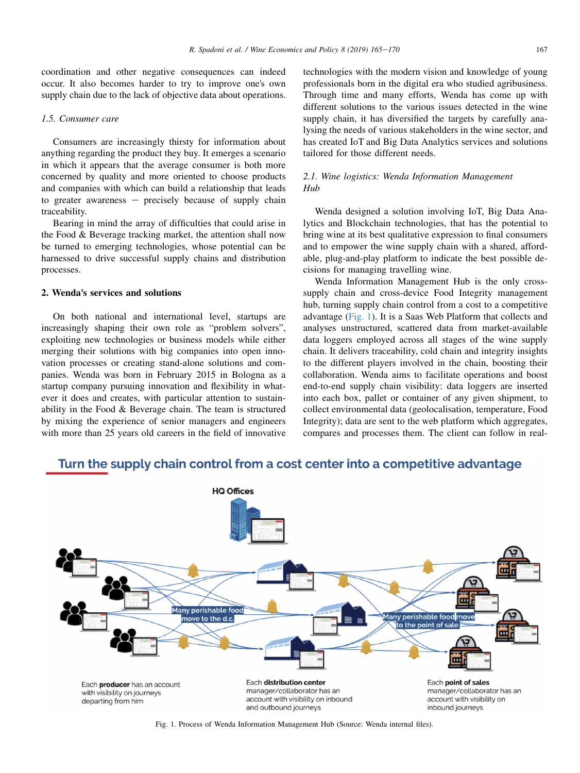coordination and other negative consequences can indeed occur. It also becomes harder to try to improve one's own supply chain due to the lack of objective data about operations.

#### 1.5. Consumer care

Consumers are increasingly thirsty for information about anything regarding the product they buy. It emerges a scenario in which it appears that the average consumer is both more concerned by quality and more oriented to choose products and companies with which can build a relationship that leads to greater awareness  $-$  precisely because of supply chain traceability.

Bearing in mind the array of difficulties that could arise in the Food & Beverage tracking market, the attention shall now be turned to emerging technologies, whose potential can be harnessed to drive successful supply chains and distribution processes.

#### 2. Wenda's services and solutions

On both national and international level, startups are increasingly shaping their own role as "problem solvers", exploiting new technologies or business models while either merging their solutions with big companies into open innovation processes or creating stand-alone solutions and companies. Wenda was born in February 2015 in Bologna as a startup company pursuing innovation and flexibility in whatever it does and creates, with particular attention to sustainability in the Food & Beverage chain. The team is structured by mixing the experience of senior managers and engineers with more than 25 years old careers in the field of innovative technologies with the modern vision and knowledge of young professionals born in the digital era who studied agribusiness. Through time and many efforts, Wenda has come up with different solutions to the various issues detected in the wine supply chain, it has diversified the targets by carefully analysing the needs of various stakeholders in the wine sector, and has created IoT and Big Data Analytics services and solutions tailored for those different needs.

# 2.1. Wine logistics: Wenda Information Management Hub

Wenda designed a solution involving IoT, Big Data Analytics and Blockchain technologies, that has the potential to bring wine at its best qualitative expression to final consumers and to empower the wine supply chain with a shared, affordable, plug-and-play platform to indicate the best possible decisions for managing travelling wine.

Wenda Information Management Hub is the only crosssupply chain and cross-device Food Integrity management hub, turning supply chain control from a cost to a competitive advantage (Fig. 1). It is a Saas Web Platform that collects and analyses unstructured, scattered data from market-available data loggers employed across all stages of the wine supply chain. It delivers traceability, cold chain and integrity insights to the different players involved in the chain, boosting their collaboration. Wenda aims to facilitate operations and boost end-to-end supply chain visibility: data loggers are inserted into each box, pallet or container of any given shipment, to collect environmental data (geolocalisation, temperature, Food Integrity); data are sent to the web platform which aggregates, compares and processes them. The client can follow in real-



# Turn the supply chain control from a cost center into a competitive advantage

Fig. 1. Process of Wenda Information Management Hub (Source: Wenda internal files).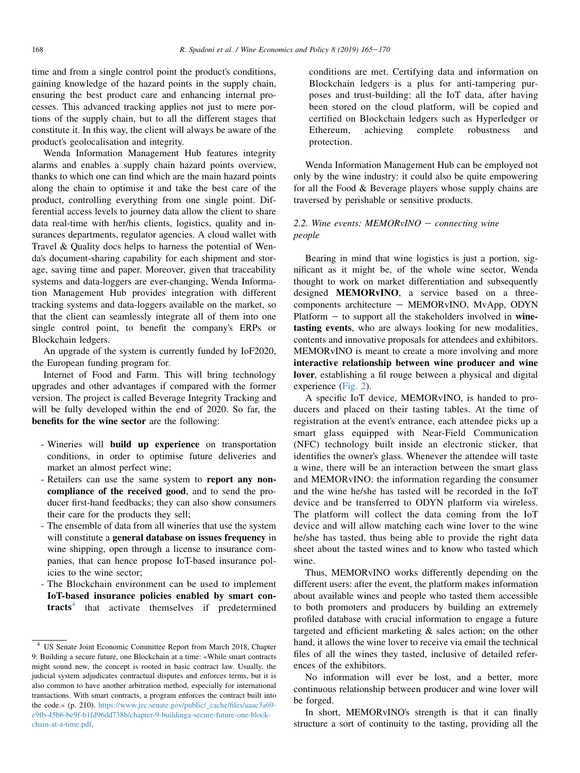time and from a single control point the product's conditions, gaining knowledge of the hazard points in the supply chain, ensuring the best product care and enhancing internal processes. This advanced tracking applies not just to mere portions of the supply chain, but to all the different stages that constitute it. In this way, the client will always be aware of the product's geolocalisation and integrity.

Wenda Information Management Hub features integrity alarms and enables a supply chain hazard points overview, thanks to which one can find which are the main hazard points along the chain to optimise it and take the best care of the product, controlling everything from one single point. Differential access levels to journey data allow the client to share data real-time with her/his clients, logistics, quality and insurances departments, regulator agencies. A cloud wallet with Travel & Quality docs helps to harness the potential of Wenda's document-sharing capability for each shipment and storage, saving time and paper. Moreover, given that traceability systems and data-loggers are ever-changing, Wenda Information Management Hub provides integration with different tracking systems and data-loggers available on the market, so that the client can seamlessly integrate all of them into one single control point, to benefit the company's ERPs or Blockchain ledgers.

An upgrade of the system is currently funded by IoF2020, the European funding program for.

Internet of Food and Farm. This will bring technology upgrades and other advantages if compared with the former version. The project is called Beverage Integrity Tracking and will be fully developed within the end of 2020. So far, the benefits for the wine sector are the following:

- Wineries will build up experience on transportation conditions, in order to optimise future deliveries and market an almost perfect wine;
- Retailers can use the same system to report any noncompliance of the received good, and to send the producer first-hand feedbacks; they can also show consumers their care for the products they sell;
- The ensemble of data from all wineries that use the system will constitute a general database on issues frequency in wine shipping, open through a license to insurance companies, that can hence propose IoT-based insurance policies to the wine sector;
- The Blockchain environment can be used to implement IoT-based insurance policies enabled by smart contracts<sup>4</sup> that activate themselves if predetermined

conditions are met. Certifying data and information on Blockchain ledgers is a plus for anti-tampering purposes and trust-building: all the IoT data, after having been stored on the cloud platform, will be copied and certified on Blockchain ledgers such as Hyperledger or Ethereum, achieving complete robustness and protection.

Wenda Information Management Hub can be employed not only by the wine industry: it could also be quite empowering for all the Food & Beverage players whose supply chains are traversed by perishable or sensitive products.

# 2.2. Wine events:  $MEMORvINO$  – connecting wine people

Bearing in mind that wine logistics is just a portion, significant as it might be, of the whole wine sector, Wenda thought to work on market differentiation and subsequently designed MEMORvINO, a service based on a threecomponents architecture  $-$  MEMORvINO, MvApp, ODYN Platform  $-$  to support all the stakeholders involved in winetasting events, who are always looking for new modalities, contents and innovative proposals for attendees and exhibitors. MEMORvINO is meant to create a more involving and more interactive relationship between wine producer and wine lover, establishing a fil rouge between a physical and digital experience ([Fig. 2\)](#page-4-0).

A specific IoT device, MEMORvINO, is handed to producers and placed on their tasting tables. At the time of registration at the event's entrance, each attendee picks up a smart glass equipped with Near-Field Communication (NFC) technology built inside an electronic sticker, that identifies the owner's glass. Whenever the attendee will taste a wine, there will be an interaction between the smart glass and MEMORvINO: the information regarding the consumer and the wine he/she has tasted will be recorded in the IoT device and be transferred to ODYN platform via wireless. The platform will collect the data coming from the IoT device and will allow matching each wine lover to the wine he/she has tasted, thus being able to provide the right data sheet about the tasted wines and to know who tasted which wine.

Thus, MEMORvINO works differently depending on the different users: after the event, the platform makes information about available wines and people who tasted them accessible to both promoters and producers by building an extremely profiled database with crucial information to engage a future targeted and efficient marketing & sales action; on the other hand, it allows the wine lover to receive via email the technical files of all the wines they tasted, inclusive of detailed references of the exhibitors.

No information will ever be lost, and a better, more continuous relationship between producer and wine lover will be forged.

In short, MEMORvINO's strength is that it can finally structure a sort of continuity to the tasting, providing all the

<sup>4</sup> US Senate Joint Economic Committee Report from March 2018, Chapter 9: Building a secure future, one Blockchain at a time: «While smart contracts might sound new, the concept is rooted in basic contract law. Usually, the judicial system adjudicates contractual disputes and enforces terms, but it is also common to have another arbitration method, especially for international transactions. With smart contracts, a program enforces the contract built into the code.» (p. 210). [https://www.jec.senate.gov/public/\\_cache/files/aaac3a69](https://www.jec.senate.gov/public/_cache/files/aaac3a69-e9fb-45b6-be9f-b1fd96dd738b/chapter-9-buildinga-secure-future-one-blockchain-at-a-time.pdf) [e9fb-45b6-be9f-b1fd96dd738b/chapter-9-buildinga-secure-future-one-block](https://www.jec.senate.gov/public/_cache/files/aaac3a69-e9fb-45b6-be9f-b1fd96dd738b/chapter-9-buildinga-secure-future-one-blockchain-at-a-time.pdf)[chain-at-a-time.pdf](https://www.jec.senate.gov/public/_cache/files/aaac3a69-e9fb-45b6-be9f-b1fd96dd738b/chapter-9-buildinga-secure-future-one-blockchain-at-a-time.pdf).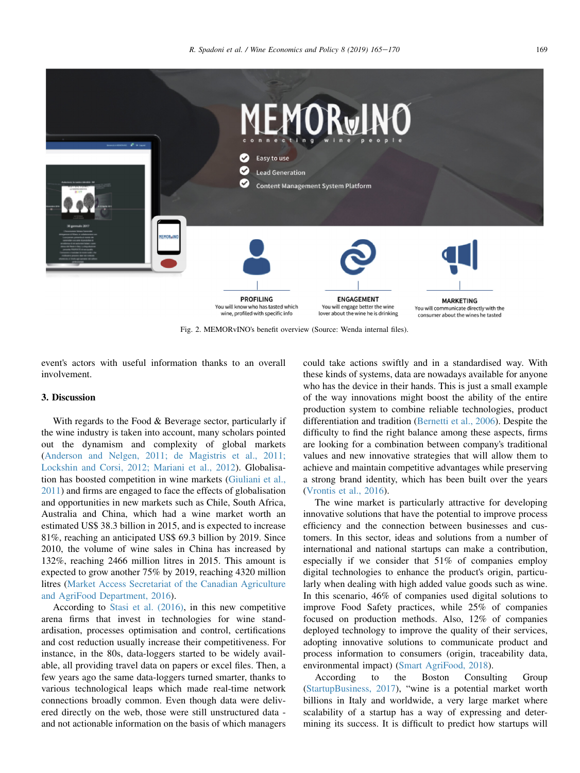<span id="page-4-0"></span>

Fig. 2. MEMORvINO's benefit overview (Source: Wenda internal files).

event's actors with useful information thanks to an overall involvement.

#### 3. Discussion

With regards to the Food & Beverage sector, particularly if the wine industry is taken into account, many scholars pointed out the dynamism and complexity of global markets ([Anderson and Nelgen, 2011; de Magistris et al., 2011;](#page-5-0) [Lockshin and Corsi, 2012; Mariani et al., 2012\)](#page-5-0). Globalisation has boosted competition in wine markets ([Giuliani et al.,](#page-5-0) [2011](#page-5-0)) and firms are engaged to face the effects of globalisation and opportunities in new markets such as Chile, South Africa, Australia and China, which had a wine market worth an estimated US\$ 38.3 billion in 2015, and is expected to increase 81%, reaching an anticipated US\$ 69.3 billion by 2019. Since 2010, the volume of wine sales in China has increased by 132%, reaching 2466 million litres in 2015. This amount is expected to grow another 75% by 2019, reaching 4320 million litres [\(Market Access Secretariat of the Canadian Agriculture](#page-5-0) [and AgriFood Department, 2016](#page-5-0)).

According to [Stasi et al. \(2016\),](#page-5-0) in this new competitive arena firms that invest in technologies for wine standardisation, processes optimisation and control, certifications and cost reduction usually increase their competitiveness. For instance, in the 80s, data-loggers started to be widely available, all providing travel data on papers or excel files. Then, a few years ago the same data-loggers turned smarter, thanks to various technological leaps which made real-time network connections broadly common. Even though data were delivered directly on the web, those were still unstructured data and not actionable information on the basis of which managers could take actions swiftly and in a standardised way. With these kinds of systems, data are nowadays available for anyone who has the device in their hands. This is just a small example of the way innovations might boost the ability of the entire production system to combine reliable technologies, product differentiation and tradition ([Bernetti et al., 2006\)](#page-5-0). Despite the difficulty to find the right balance among these aspects, firms are looking for a combination between company's traditional values and new innovative strategies that will allow them to achieve and maintain competitive advantages while preserving a strong brand identity, which has been built over the years ([Vrontis et al., 2016](#page-5-0)).

The wine market is particularly attractive for developing innovative solutions that have the potential to improve process efficiency and the connection between businesses and customers. In this sector, ideas and solutions from a number of international and national startups can make a contribution, especially if we consider that 51% of companies employ digital technologies to enhance the product's origin, particularly when dealing with high added value goods such as wine. In this scenario, 46% of companies used digital solutions to improve Food Safety practices, while 25% of companies focused on production methods. Also, 12% of companies deployed technology to improve the quality of their services, adopting innovative solutions to communicate product and process information to consumers (origin, traceability data, environmental impact) ([Smart AgriFood, 2018](#page-5-0)).

According to the Boston Consulting Group ([StartupBusiness, 2017](#page-5-0)), "wine is a potential market worth billions in Italy and worldwide, a very large market where scalability of a startup has a way of expressing and determining its success. It is difficult to predict how startups will